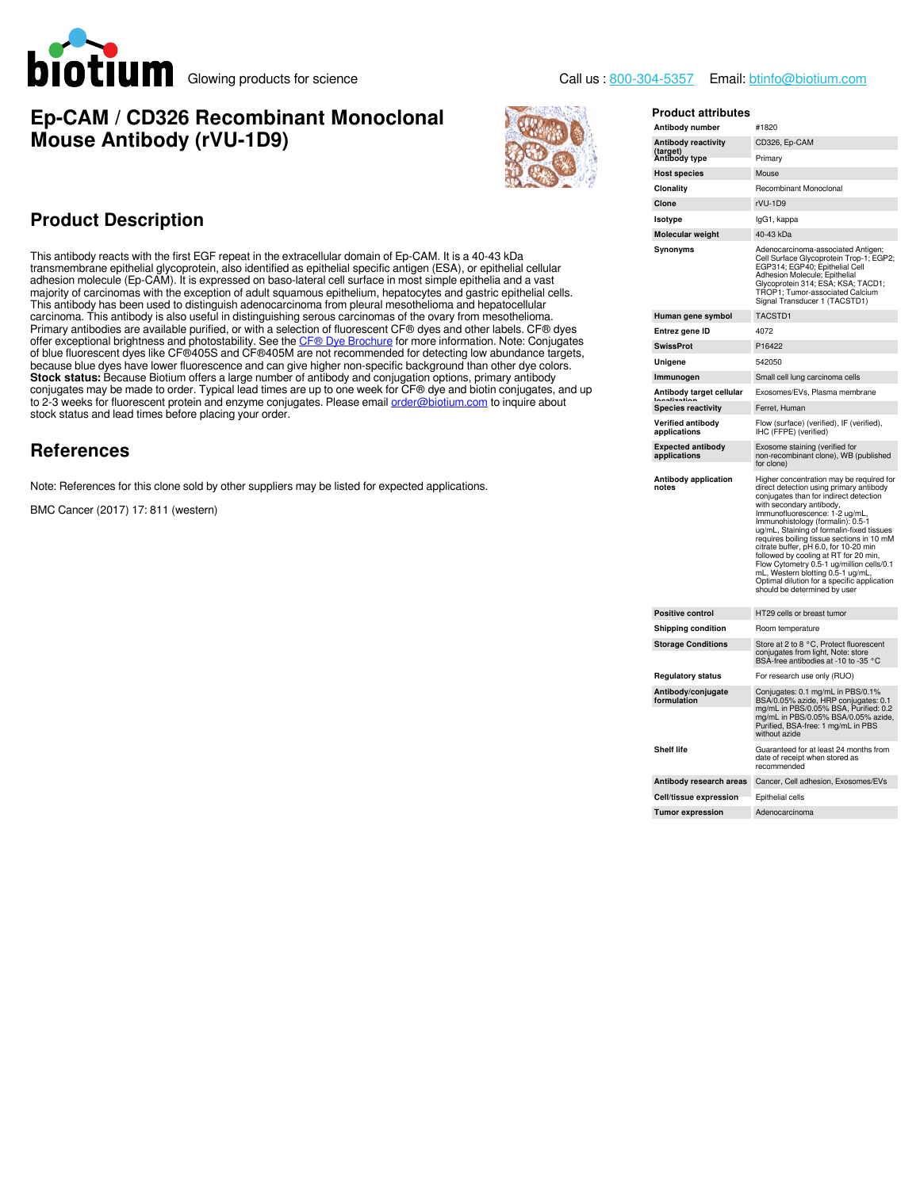

## **Ep-CAM / CD326 Recombinant Monoclonal Mouse Antibody (rVU-1D9)**



| Product attributes                       |                                                                                                                                                                                                                                                                                                                                                                                                                                                                                                                                                                              |  |  |  |
|------------------------------------------|------------------------------------------------------------------------------------------------------------------------------------------------------------------------------------------------------------------------------------------------------------------------------------------------------------------------------------------------------------------------------------------------------------------------------------------------------------------------------------------------------------------------------------------------------------------------------|--|--|--|
| Antibody number                          | #1820                                                                                                                                                                                                                                                                                                                                                                                                                                                                                                                                                                        |  |  |  |
| <b>Antibody reactivity</b>               | CD326, Ep-CAM                                                                                                                                                                                                                                                                                                                                                                                                                                                                                                                                                                |  |  |  |
| (target)<br>Antibody type                | Primary                                                                                                                                                                                                                                                                                                                                                                                                                                                                                                                                                                      |  |  |  |
| <b>Host species</b>                      | Mouse                                                                                                                                                                                                                                                                                                                                                                                                                                                                                                                                                                        |  |  |  |
| Clonality                                | Recombinant Monoclonal                                                                                                                                                                                                                                                                                                                                                                                                                                                                                                                                                       |  |  |  |
| Clone                                    | rVU-1D9                                                                                                                                                                                                                                                                                                                                                                                                                                                                                                                                                                      |  |  |  |
| Isotype                                  | IgG1, kappa                                                                                                                                                                                                                                                                                                                                                                                                                                                                                                                                                                  |  |  |  |
| Molecular weight                         | 40-43 kDa                                                                                                                                                                                                                                                                                                                                                                                                                                                                                                                                                                    |  |  |  |
| Synonyms                                 | Adenocarcinoma-associated Antigen;<br>Cell Surface Glycoprotein Trop-1; EGP2;<br>EGP314; EGP40; Epithelial Cell<br>Adhesion Molecule; Epithelial<br>Glycoprotein 314; ESA; KSA; TACD1;<br>TROP1; Tumor-associated Calcium<br>Signal Transducer 1 (TACSTD1)                                                                                                                                                                                                                                                                                                                   |  |  |  |
| Human gene symbol                        | TACSTD1                                                                                                                                                                                                                                                                                                                                                                                                                                                                                                                                                                      |  |  |  |
| Entrez gene ID                           | 4072                                                                                                                                                                                                                                                                                                                                                                                                                                                                                                                                                                         |  |  |  |
| <b>SwissProt</b>                         | P16422                                                                                                                                                                                                                                                                                                                                                                                                                                                                                                                                                                       |  |  |  |
| Unigene                                  | 542050                                                                                                                                                                                                                                                                                                                                                                                                                                                                                                                                                                       |  |  |  |
| Immunogen                                | Small cell lung carcinoma cells                                                                                                                                                                                                                                                                                                                                                                                                                                                                                                                                              |  |  |  |
| Antibody target cellular                 | Exosomes/EVs, Plasma membrane                                                                                                                                                                                                                                                                                                                                                                                                                                                                                                                                                |  |  |  |
| <b>Species reactivity</b>                | Ferret, Human                                                                                                                                                                                                                                                                                                                                                                                                                                                                                                                                                                |  |  |  |
| Verified antibody<br>applications        | Flow (surface) (verified), IF (verified),<br>IHC (FFPE) (verified)                                                                                                                                                                                                                                                                                                                                                                                                                                                                                                           |  |  |  |
| <b>Expected antibody</b><br>applications | Exosome staining (verified for<br>non-recombinant clone), WB (published<br>for clone)                                                                                                                                                                                                                                                                                                                                                                                                                                                                                        |  |  |  |
| Antibody application<br>notes            | Higher concentration may be required for<br>direct detection using primary antibody<br>conjugates than for indirect detection<br>with secondary antibody,<br>Immunofluorescence: 1-2 ug/mL,<br>Immunohistology (formalin): 0.5-1<br>ug/mL, Staining of formalin-fixed tissues<br>requires boiling tissue sections in 10 mM<br>citrate buffer, pH 6.0, for 10-20 min<br>followed by cooling at RT for 20 min,<br>Flow Cytometry 0.5-1 ug/million cells/0.1<br>mL, Western blotting 0.5-1 ug/mL<br>Optimal dilution for a specific application<br>should be determined by user |  |  |  |
| <b>Positive control</b>                  | HT29 cells or breast tumor                                                                                                                                                                                                                                                                                                                                                                                                                                                                                                                                                   |  |  |  |
| <b>Shipping condition</b>                | Room temperature                                                                                                                                                                                                                                                                                                                                                                                                                                                                                                                                                             |  |  |  |
| <b>Storage Conditions</b>                | Store at 2 to 8 °C, Protect fluorescent<br>conjugates from light, Note: store<br>BSA-free antibodies at -10 to -35 °C                                                                                                                                                                                                                                                                                                                                                                                                                                                        |  |  |  |
| <b>Regulatory status</b>                 | For research use only (RUO)                                                                                                                                                                                                                                                                                                                                                                                                                                                                                                                                                  |  |  |  |
| Antibody/conjugate<br>formulation        | Conjugates: 0.1 mg/mL in PBS/0.1%<br>BSA/0.05% azide, HRP conjugates: 0.1                                                                                                                                                                                                                                                                                                                                                                                                                                                                                                    |  |  |  |
|                                          | mg/mL in PBS/0.05% BSA, Purified: 0.2<br>mg/mL in PBS/0.05% BSA/0.05% azide,<br>Purified, BSA-free: 1 mg/mL in PBS<br>without azide                                                                                                                                                                                                                                                                                                                                                                                                                                          |  |  |  |
|                                          |                                                                                                                                                                                                                                                                                                                                                                                                                                                                                                                                                                              |  |  |  |
| <b>Shelf life</b>                        | Guaranteed for at least 24 months from<br>date of receipt when stored as<br>recommended                                                                                                                                                                                                                                                                                                                                                                                                                                                                                      |  |  |  |
| Antibody research areas                  | Cancer, Cell adhesion, Exosomes/EVs                                                                                                                                                                                                                                                                                                                                                                                                                                                                                                                                          |  |  |  |

**Tumor expression** Adenocarcinoma

## **Product Description**

This antibody reacts with the first EGF repeat in the extracellular domain of Ep-CAM. It is a 40-43 kDa transmembrane epithelial glycoprotein, also identified as epithelial specific antigen (ESA), or epithelial cellular adhesion molecule (Ep-CAM). It is expressed on baso-lateral cell surface in most simple epithelia and a vast majority of carcinomas with the exception of adult squamous epithelium, hepatocytes and gastric epithelial cells. This antibody has been used to distinguish adenocarcinoma from pleural mesothelioma and hepatocellular carcinoma. This antibody is also useful in distinguishing serous carcinomas of the ovary from mesothelioma. Primary antibodies are available purified, or with a selection of fluorescent CF® dyes and other labels. CF® dyes offer exceptional brightness and photostability. See the [CF® Dye Brochure](https://biotium.com/wp-content/uploads/2013/07/CF-Dye-Brochure.pdf) for more information. Note: Conjugates of blue fluorescent dyes like CF®405S and CF®405M are not recommended for detecting low abundance targets, because blue dyes have lower fluorescence and can give higher non-specific background than other dye colors. **Stock status:** Because Biotium offers a large number of antibody and conjugation options, primary antibody conjugates may be made to order. Typical lead times are up to one week for CF® dye and biotin conjugates, and up to 2-3 weeks for fluorescent protein and enzyme conjugates. Please email [order@biotium.com](mailto:order@biotium.com) to inquire about stock status and lead times before placing your order.

#### **References**

Note: References for this clone sold by other suppliers may be listed for expected applications.

BMC Cancer (2017) 17: 811 (western)